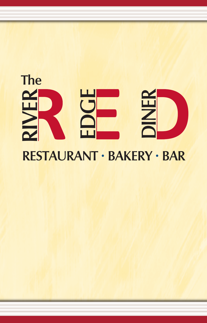### **EDGERI**  $\geq$ **E R DI I I I I I I I NERThe**

# **RESTAURANT • BAKERY • BAR**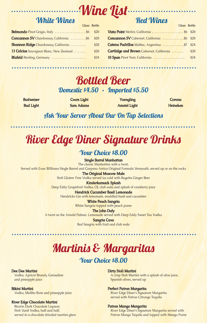# **Wine List**

**Glass Bottle**

### **White Wines**

| Belmondo Pinot Grigio, Italy \$6            | \$20 |
|---------------------------------------------|------|
| Concannon SV Chardonnay, California  \$6    | \$20 |
| <b>Shannon Ridge</b> Chardonnay, California | \$28 |
| 13 Celcius Sauvignon Blanc, New Zealand     | \$28 |
| <b>Blufeld</b> Riesling, Germany            | \$24 |

## **Red Wines**

|                                                 | <b>SHUSS DOULE</b> |
|-------------------------------------------------|--------------------|
| Vista Point Merlot, California  \$6 \$20        |                    |
| Concannon SV Cabernet, California \$6 \$20      |                    |
| Catena Padrillos Malbec, Argentina \$7 \$24     |                    |
| <b>Cartlidge and Brown</b> Cabernet, California | \$28               |
| 10 Span Pinot Noir, California                  | \$24               |
|                                                 |                    |

## **Bottled Beer Domestic \$4.50 • Imported \$5.50**

**Budweiser Bud Light**

**Coors Light Sam Adams**

**Yuengling Amstel Light**

**Corona Heineken**

**Glass Bottle**

### **Ask Your Server About Our On Tap Selections**

# **River Edge Diner Signature Drinks**

### **Your Choice \$8.00**

**Single Barrel Manhattan** The classic Manhattan with a twist. Served with Evan Williams Single Barrel and Carpano Antica Original Formula Vermouth, served up or on the rocks

**The Original Moscow Mule** Stoli Gluten-Free Vodka served ice cold with Regatta Ginger Beer

**Kinderkamack Splash** Deep Eddy Grapefruit Vodka, OJ, club soda and splash of cranberry juice **Hendrick Cucumber Basil Lemonade**

Hendricks Gin with lemonade, muddled basil and cucumber

**White Peach Sangria** White Sangria topped with peach puree

**The John Daly**

A twist on the Arnold Palmer. Lemonade served with Deep Eddy Sweet Tea Vodka

**Sangria Cava** Red Sangria with fruit and club soda

## **Martinis & Margaritas Your Choice \$8.00**

### **Dee Dee Martini**

Vodka, Apricot Brandy, Grenadine and pineapple juice

**Bikini Martini**

Vodka, Malibu Rum and pineapple juice

### **River Edge Chocolate Martini**

Bicerin Dark Chocolate Liqueur, Stoli Vanil Vodka, half and half, served in a chocolate drizzled martini glass **Dirty Stoli Martini**

A crisp Stoli Martini with a splash of olive juice, Spanish olives, served up

### **Perfect Patron Margarita**

River Edge Diner's Signature Margarita served with Patron Citronge Tequila

### **Patron Mango Margarita**

River Edge Diner's Signature Margarita served with Patron Mango Tequila and topped with Mango Puree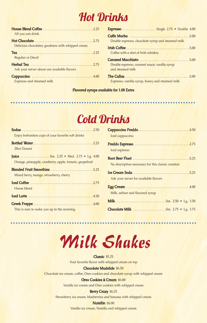# **Hot Drinks**

| All you can drink                                |  |
|--------------------------------------------------|--|
|                                                  |  |
| Delicious chocolatey goodness with whipped cream |  |
|                                                  |  |
| <b>Reqular or Decaf</b>                          |  |
|                                                  |  |
| Ask your server about our available flavors      |  |
|                                                  |  |
| Espresso and steamed milk                        |  |

| Espresso Single 2.75 • Double 4.00                                |
|-------------------------------------------------------------------|
| Double espresso, chocolate syrup and steamed milk                 |
| Coffee with a shot of Irish whiskey                               |
| Double espresso, caramel sauce, vanilla syrup<br>and steamed milk |
| Espresso, vanilla syrup, honey and steamed milk                   |

### **Flavored syrups available for 1.00 Extra**

# **Cold Drinks**

| Enjoy bottomless cups of your favorite soft drinks      |  |
|---------------------------------------------------------|--|
| 20oz Dasani                                             |  |
| <b>Juice</b> Sm. 2.25 • Med. 2.75 • Lg. 4.00            |  |
| Orange, pineapple, cranberry, apple, tomato, grapefruit |  |
|                                                         |  |
| Mixed berry, mango, strawberry, cherry                  |  |
| House blend                                             |  |
|                                                         |  |
|                                                         |  |
| This is sure to wake you up in the morning              |  |

| Iced cappuccino                                    |  |
|----------------------------------------------------|--|
|                                                    |  |
| Iced espresso                                      |  |
|                                                    |  |
| No description necessary for this classic creation |  |
|                                                    |  |
| Ask your server for available flavors              |  |
|                                                    |  |
| Milk, seltzer and flavored syrup                   |  |
|                                                    |  |
|                                                    |  |

# *Milk Shakes*

**Classic** \$5.25 Your favorite flavor with whipped cream on top

**Chocolate Mudslide** \$6.50

Chocolate ice cream, coffee, Oreo cookies and chocolate syrup with whipped cream

#### **Oreo Cookies & Cream** \$6.00

Vanilla ice cream and Oreo cookies with whipped cream

### **Berry Crazy** \$6.25

Strawberry ice cream, blueberries and banana with whipped cream

#### **Nutellin** \$6.00

Vanilla ice cream, Nutella and whipped cream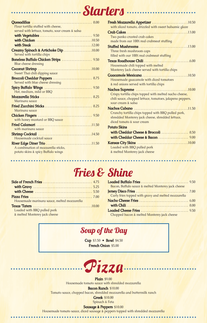## **Starters**

| Flour tortilla stuffed with cheese,             |  |
|-------------------------------------------------|--|
| served with lettuce, tomato, sour cream & salsa |  |
|                                                 |  |
|                                                 |  |
|                                                 |  |
| Creamy Spinach & Artichoke Dip10.00             |  |
| Served with tortilla chips                      |  |
| Boneless Buffalo Chicken Strips  9.50           |  |
| <b>Blue cheese dressing</b>                     |  |
|                                                 |  |
| Sweet Thai chili dipping sauce                  |  |
|                                                 |  |
| Served with blue cheese dressing                |  |
|                                                 |  |
| Hot, medium, mild or BBQ                        |  |
|                                                 |  |
| Marinara squce                                  |  |
| Fried Zucchini Sticks  8.25                     |  |
| Marinara sauce                                  |  |
|                                                 |  |
| with honey mustard or BBQ sauce                 |  |
|                                                 |  |
| with marinara sauce                             |  |
|                                                 |  |
| Housemade cocktail sauce                        |  |
|                                                 |  |
| A combination of mozzarella sticks,             |  |
| potato skins & spicy Buffalo wings              |  |
|                                                 |  |

| Fresh Mozzarella Appetizer 10.50                                                |
|---------------------------------------------------------------------------------|
| with sliced tomato, drizzled with sweet balsamic glaze                          |
|                                                                                 |
| Two panko crusted crab cakes                                                    |
| made from our 100% real crabmeat stuffing                                       |
|                                                                                 |
| Three fresh mushroom caps                                                       |
| filled with our 100% real crabmeat stuffing                                     |
|                                                                                 |
| Housemade chili topped with melted                                              |
| Monterey Jack cheese served with tortilla chips                                 |
|                                                                                 |
| Housemade quacamole with diced tomatoes                                         |
| & red onions served with tortilla chips                                         |
|                                                                                 |
| Crispy tortilla chips topped with melted nacho cheese,                          |
| chili sauce, chopped lettuce, tomatoes, jalapeno peppers,<br>sour cream & salsa |
|                                                                                 |
| Crunchy tortilla chips topped with BBQ pulled pork,                             |
| shredded Monterey jack cheese, shredded lettuce,                                |
| diced tomato & sour cream                                                       |
| <b>Potato Skins</b>                                                             |
| with Cheddar Cheese & Broccoli  8.50                                            |
|                                                                                 |
|                                                                                 |
| Loaded with BBQ pulled pork                                                     |
| & melted Monterey jack cheese                                                   |

# **Fries & Shine**

| Housemade marinara sauce, melted mozzarella |  |
|---------------------------------------------|--|
|                                             |  |
| Loaded with BBQ pulled pork                 |  |
| & melted Monterey jack cheese               |  |

 $\ddot{\phantom{0}}$ 

 $\bullet\bullet\bullet\bullet\bullet$ 

| Bacon, Buffalo sauce & melted Monterey jack cheese  |  |
|-----------------------------------------------------|--|
|                                                     |  |
| Curly fries topped with gravy and melted mozzarella |  |
|                                                     |  |
|                                                     |  |
|                                                     |  |
| Chopped bacon & melted Monterey jack cheese         |  |

. . . . . .

## **Soup of the Day**

**Cup** \$3.50 **• Bowl** \$4.50 **French Onion** \$5.00



**Plain** \$9.00 Housemade tomato sauce with shredded mozzarella **Bacon Ranch** \$10.00

Tomato sauce, chopped bacon, shredded mozzarella and buttermilk ranch

**Greek** \$10.00

Spinach & Feta

**Sausage & Peppers** \$10.00

 $0.00000000$ 

Housemade tomato sauce, diced sausage & peppers topped with shredded mozzarella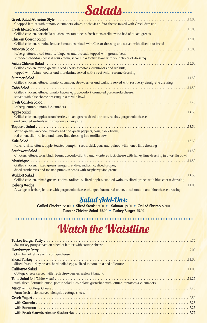| Chopped lettuce with tomato, cucumbers, olives, anchovies & feta cheese mixed with Greek dressing                                                                                                                              |  |
|--------------------------------------------------------------------------------------------------------------------------------------------------------------------------------------------------------------------------------|--|
| Fresh Mozzarella Salad (and the second contract of the second contract of the second contract of the second second second second second second second second second second second second second second second second second se |  |
| Grilled chicken, portobello mushrooms, tomatoes & fresh mozzarella over a bed of mixed greens                                                                                                                                  |  |
|                                                                                                                                                                                                                                |  |
| Grilled chicken, romaine lettuce & croutons mixed with Caesar dressing and served with sliced pita bread                                                                                                                       |  |
|                                                                                                                                                                                                                                |  |
| Iceberg lettuce, diced tomato, jalapenos and avocado topped with ground beef,                                                                                                                                                  |  |
| shredded cheddar cheese & sour cream, served in a tortilla bowl with your choice of dressing                                                                                                                                   |  |
| Asian Chicken Salad (1996) 15.00                                                                                                                                                                                               |  |
| Grilled chicken, mixed greens, sliced cherry tomatoes, cucumbers and walnuts,                                                                                                                                                  |  |
| topped with Asian noodles and mandarins, served with sweet Asian sesame dressing                                                                                                                                               |  |
|                                                                                                                                                                                                                                |  |
| Grilled chicken, lettuce, tomato, cucumber, strawberries and walnuts served with raspberry vinaigrette dressing                                                                                                                |  |
| Cobb Salad                                                                                                                                                                                                                     |  |
| Grilled chicken, lettuce, tomato, bacon, egg, avocado & crumbled gorgonzola cheese,<br>served with blue cheese dressing in a tortilla bowl                                                                                     |  |
|                                                                                                                                                                                                                                |  |
| Iceberg lettuce, tomato & cucumbers                                                                                                                                                                                            |  |
|                                                                                                                                                                                                                                |  |
| Grilled chicken, apples, strawberries, mixed greens, dried apricots, raisins, gorgonzola cheese                                                                                                                                |  |
| and candied walnuts with raspberry vinaigrette                                                                                                                                                                                 |  |
|                                                                                                                                                                                                                                |  |
| Mixed greens, avocado, tomato, red and green peppers, corn, black beans,                                                                                                                                                       |  |
| red onion, cilantro, feta and honey lime dressing in a tortilla bowl                                                                                                                                                           |  |
|                                                                                                                                                                                                                                |  |
| Kale, raisins, lettuce, apple, toasted pumpkin seeds, chick peas and quinoa with honey lime dressing                                                                                                                           |  |
|                                                                                                                                                                                                                                |  |
| Chicken, lettuce, corn, black beans, avocado, cilantro and Monterey jack cheese with honey lime dressing in a tortilla bowl                                                                                                    |  |
|                                                                                                                                                                                                                                |  |
| Grilled chicken, mixed greens, arugula, endive, radicchio, sliced grapes,                                                                                                                                                      |  |
| dried cranberries and toasted pumpkin seeds with raspberry vinaigrette                                                                                                                                                         |  |
|                                                                                                                                                                                                                                |  |
| Grilled chicken, mixed greens, endive, radicchio, sliced apples, candied walnuts, sliced grapes with blue cheese dressing                                                                                                      |  |
|                                                                                                                                                                                                                                |  |
| A wedge of iceberg lettuce with gorgonzola cheese, chopped bacon, red onion, diced tomato and blue cheese dressing                                                                                                             |  |

**Salads Salads** 

## **Salad Add-Ons:**

**Grilled Chicken** \$6.00 **• Sliced Steak** \$9.00 **• Salmon** \$9.00 **• Grilled Shrimp** \$9.00 **Tuna or Chicken Salad** \$5.00 **• Turkey Burger** \$5.00

. . . . . . . . .

# **Watch the Waistline**

| 802 turkey patty served on a bed of lettuce with cottage cheese                                  |
|--------------------------------------------------------------------------------------------------|
|                                                                                                  |
| On a bed of lettuce with cottage cheese                                                          |
|                                                                                                  |
| Sliced fresh turkey breast, hard boiled egg & sliced tomato on a bed of lettuce                  |
| California Salad (11.00)                                                                         |
| Cottage cheese served with fresh strawberries, melon & banana                                    |
|                                                                                                  |
| with sliced Bermuda onion, potato salad & cole slaw garnished with lettuce, tomatoes & cucumbers |
|                                                                                                  |
| Farm fresh melon served alongside cottage cheese                                                 |
|                                                                                                  |
|                                                                                                  |
|                                                                                                  |
|                                                                                                  |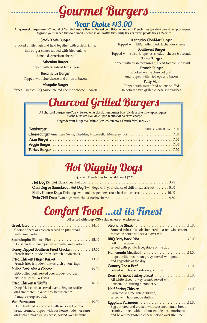# **Gourmet Burgers**

## **Your Choice \$13.00**

All gourmet burgers are 1/2 Pound of Certified Angus Beef • Served on a Brioche bun with French fries (pickle & cole slaw upon request) Upgrade your French fries to a small Caesar salad, waffle fries, curly fries or sweet potato fries 1.75 extra

### **Steak Knife Burger**

Stacked a mile high and held together with a steak knife, this burger comes topped with fried onions & melted American cheese

### **Athenian Burger**

Topped with crumbled feta cheese

### **Bacon Blue Burger**

Topped with blue cheese and strips of bacon

#### **Mesquite Burger**

Sweet & smoky BBQ sauce, melted cheddar cheese & bacon

**Kentucky Cheddar Burger**

Topped with BBQ pulled pork & cheddar cheese

**Southwest Burger** Topped with salsa, jalapenos, cheddar cheese & avocado

**Roma Burger**  Topped with fresh mozzarella, sliced tomato and basil

> **Brunch Burger** Cooked on the charcoal grill and topped with fried egg and bacon

> > **Fatty Melt**

Topped with sweet fried onions stuffed in between two grilled cheese sandwiches



**All charcoal burgers are 7oz • Served on a classic hamburger bun (pickle & cole slaw upon request) Brioche buns are available upon request at no extra charge**

**Upgrade your burger to Deluxe (lettuce, tomato & French fries) for \$2.75**

| Veggie Burger (and all and all and all and all and all and all and all and all and all and all and all and all and all and all and all and all and all and all and all and all and all and all and all and all and all and all |  |
|--------------------------------------------------------------------------------------------------------------------------------------------------------------------------------------------------------------------------------|--|
|                                                                                                                                                                                                                                |  |

# **Hot Diggity Dogs**

**Enjoy with French fries for an additional \$2.25**

| Chili Dog or Sauerkraut Hot Dog Twin dogs with your choice of chili or sauerkraut  5.00 |
|-----------------------------------------------------------------------------------------|
| <b>Philly Cheese Dogs</b> Twin dogs with onions, peppers, roast beef and cheese 10.00   |
|                                                                                         |

## **Comfort Food …at its Finest**

**All served with soup -OR- salad unless otherwise noted**

| Choice of beef or chicken served on pita bread    |  |
|---------------------------------------------------|--|
| with Greek salad                                  |  |
| Spanakopita (Spinach Pie) 15.00                   |  |
| Housemade spinach pie served with Greek salad     |  |
| Honey Dipped Southern Fried Chicken 13.50         |  |
| French fries & made-from-scratch onion rings      |  |
| Fried Chicken Finger Basket 13.50                 |  |
| French fries & made-from-scratch onion rings      |  |
| Pulled Pork Mac & Cheese 15.00                    |  |
| BBQ pulled pork served over made-to-order         |  |
| penne macaroni & cheese                           |  |
|                                                   |  |
| Deep fried chicken served over a Belgian waffle   |  |
| and smothered in a brandy, heavy cream            |  |
| & maple syrup reduction                           |  |
|                                                   |  |
| Hand battered and coated with seasoned panko      |  |
| bread crumbs, topped with our housemade marinara  |  |
| and baked mozzarella cheese, served over linguine |  |

| a uniess otnerwise notea                            |  |
|-----------------------------------------------------|--|
|                                                     |  |
| Sauteed cubes of steak simmered in a red wine cream |  |
| reduction squce and served over ziti                |  |
|                                                     |  |
| Fall off the bone ribs                              |  |
| served with potato & vegetable of the day           |  |
| Homemade Meatloaf 14.00                             |  |
| topped with mushroom gravy, served with potato      |  |
| and vegetable of the day                            |  |
|                                                     |  |
| Served with housemade au jus gravy                  |  |
| <b>Roast Vermont Turkey Breast</b> 15.00            |  |
| All white sliced turkey breast, served with         |  |
| housemade stuffing & cranberry                      |  |
|                                                     |  |
| Oven roasted free-range chicken,                    |  |
| served with housemade stuffing                      |  |
|                                                     |  |
| Egg battered and crusted with seasoned panko bread  |  |
| crumbs, topped with our housemade basil marinara    |  |
| and baked mozzarella cheese, served over linguine   |  |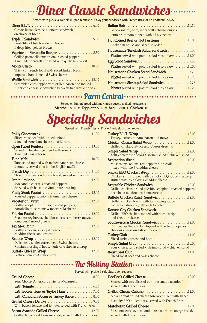# **Diner Classic Sandwiches**

Served with pickle & cole slaw upon request • Enjoy your sandwich with French fries for an additional \$2.25

| Classic bacon, lettuce & tomato sandwich                                           | Genoa salami, ham, mozzarella cheese, onions,             |
|------------------------------------------------------------------------------------|-----------------------------------------------------------|
| on choice of bread                                                                 | lettuce & tomato topped with oil & vinegar                |
|                                                                                    | Hot Corned Beef or Hot Pastrami10.00                      |
| Fresh filet of fish breaded in house                                               | Cooked in house and sliced to order                       |
| & deep fried golden brown                                                          | Housemade Tunafish Salad Sandwich  8.50                   |
| Vegetarian Portobello Burger  8.50<br>Grilled portobello mushroom, roasted peppers | <b>Platter</b> served with potato salad & cole slaw 11.00 |
| & melted mozzarella drizzled with garlic & olive oil                               |                                                           |
|                                                                                    | <b>Platter</b> served with potato salad & cole slaw 10.00 |
| Thick cut French toast with sliced turkey breast,                                  |                                                           |
| imported ham & melted Swiss cheese                                                 | <b>Platter</b> served with potato salad & cole slaw 10.25 |
| Scrambled eggs topped with grilled bacon and melted                                | Housemade Shrimp Salad Sandwich  9.75                     |
| American cheese sandwiched between two waffle halves                               | <b>Platter</b> served with potato salad & cole slaw 12.25 |

**Served on Italian bread with marinara sauce & melted mozzarella Parm Central**

**Meatball** 9.00 **• Eggplant** 9.50 **• Veal** 12.00 **• Chicken** 10.50

# **Specialty Sandwiches**

| Sliced roast beef with grilled onions                  |  |
|--------------------------------------------------------|--|
| & melted American cheese on a hard roll                |  |
|                                                        |  |
| Served on toasted rye bread with sauerkraut            |  |
| & melted Swiss cheese                                  |  |
|                                                        |  |
| Tuna salad topped with melted American cheese          |  |
| & tomato, served on a jumbo English muffin             |  |
|                                                        |  |
| Sliced roast beef on Italian bread, served with au jus |  |
|                                                        |  |
| Mozzarella cheese & roasted peppers,                   |  |
| drizzled with balsamic vinaigrette dressing            |  |
|                                                        |  |
|                                                        |  |
| Roasted peppers, onions & American cheese              |  |
|                                                        |  |
| Grilled eggplant, zucchini, roasted peppers,           |  |
| portobello mushrooms & mozzarella cheese               |  |
|                                                        |  |
| Roast turkey breast, cheddar cheese, cranberry, mayo,  |  |
| tomatoes & mixed greens                                |  |
|                                                        |  |
| Grilled chicken, salsa, jalapenos,                     |  |
| cheddar cheese and avocado                             |  |
|                                                        |  |
| Deliciously tender corned beef, Swiss cheese,          |  |
| Russian dressing & housemade cole slaw in a wrap       |  |
|                                                        |  |
| Lettuce, tomato & sour cream                           |  |

| Served with French fries • Pickle & cole slaw upon request |                                                               |
|------------------------------------------------------------|---------------------------------------------------------------|
| . 11.00                                                    |                                                               |
|                                                            | Turkey, lettuce, tomato, bacon and mayo                       |
| d roll                                                     | Chicken Caesar Salad Wrap 12.00                               |
| . 13.00                                                    | Grilled chicken, lettuce and Caesar dressing                  |
| uerkraut                                                   |                                                               |
|                                                            | Your choice: tuna salad · shrimp salad · chicken salad        |
| . 10.00                                                    |                                                               |
| erican cheese                                              | Mushrooms, onions, red peppers & broccoli                     |
| າ muffin                                                   | mixed with rice & cheddar cheese                              |
| . 11.00                                                    | <b>Smoky BBQ Chicken Wrap 12.00</b>                           |
| erved with au jus                                          | Chicken strips topped with a smoky BBQ sauce in a wrap        |
| . 12.00                                                    | stuffed with cole slaw & cheddar cheese                       |
| $\mathsf{S},$                                              | Vegetable Chicken Sandwich 12.00                              |
| <b>ressing</b>                                             | Grilled chicken, grilled zucchini, eggplant, roasted peppers, |
| . 12.00                                                    | portobello mushrooms & mozzarella                             |
| n cheese                                                   | Buffalo Chicken Ranch Sandwich 12.00                          |
| . 12.00                                                    | Grilled chicken breast with tangy wing sauce,                 |
| beppers,                                                   | cool ranch dressing, lettuce & tomato                         |
| a cheese                                                   | Kansas City Chicken Sandwich 12.00                            |
| . 12.00                                                    | Grilled BBQ chicken, topped with bacon strips                 |
| , cranberry, mayo,                                         | and cheddar cheese                                            |
|                                                            | Southwestern Chicken Sandwich 12.00                           |
| . 12.00                                                    | Charcoal grilled chicken topped with salsa, jalapenos,        |
|                                                            | cheddar cheese and sliced avocado                             |
|                                                            |                                                               |
| . 12.00                                                    | Sliced turkey breast and bacon                                |
| s cheese,                                                  |                                                               |
| slaw in a wrap                                             | Your choice: tuna salad • shrimp salad • chicken salad        |
| . 12.00                                                    |                                                               |
|                                                            | Sliced roast beef and Swiss cheese                            |
|                                                            |                                                               |

**The Melting Station**

| Served with pickle & cole sl                             |  |
|----------------------------------------------------------|--|
|                                                          |  |
| Your Choice: American, Swiss or Mozzarella               |  |
|                                                          |  |
|                                                          |  |
| with Canadian Bacon or Turkey Bacon  8.00                |  |
|                                                          |  |
| With bacon, lettuce and tomato, served with French Fries |  |
|                                                          |  |
| Grilled bacon and Haas avocado, served with French Fries |  |

| slaw upon request                                        |
|----------------------------------------------------------|
|                                                          |
| Stuffed with two slices of our housemade meatloaf,       |
| served with French Fries                                 |
|                                                          |
| A traditional grilled cheese sandwich filled with sweet  |
| & smoky BBQ pulled pork, served with French Fries        |
| Margherita Grilled Cheese 12.00                          |
| Fresh mozzarella, basil and house marinara on rye bread, |
| served with French Fries                                 |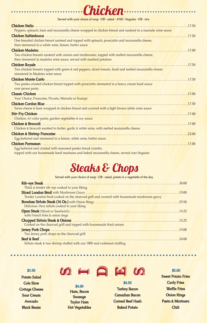| Served with your choice of soup -OR- salad -AND- linguine -OR- rice                                                                                              |
|------------------------------------------------------------------------------------------------------------------------------------------------------------------|
| Chicken Stelio                                                                                                                                                   |
| Peppers, spinach, ham and mozzarella cheese wrapped in chicken breast and sauteed in a marsala wine sauce                                                        |
|                                                                                                                                                                  |
| One breaded chicken breast sauteed and topped with spinach, prosciutto and mozzarella cheese,                                                                    |
| then simmered in a white wine, lemon, butter sauce                                                                                                               |
|                                                                                                                                                                  |
| Two chicken breasts sauteed with onions and mushrooms, topped with melted mozzarella cheese,<br>then simmered in madeira wine sauce, served with mashed potatoes |
| Chicken Royale<br>17.50                                                                                                                                          |
| Two chicken breasts topped with green & red peppers, diced tomato, basil and melted mozzarella cheese<br>simmered in Madeira wine sauce                          |
|                                                                                                                                                                  |
| Two panko crusted chicken breast topped with prosciutto simmered in a heavy cream basil sauce                                                                    |
| over penne pasta                                                                                                                                                 |
|                                                                                                                                                                  |
| Your Choice; Francaise, Piccata, Marsala or Scampi                                                                                                               |
|                                                                                                                                                                  |
| Swiss cheese & ham wrapped in chicken breast and covered with a light brown white wine sauce                                                                     |
|                                                                                                                                                                  |
| Chicken, tri-color pasta, garden vegetables & soy sauce                                                                                                          |
|                                                                                                                                                                  |
| Chicken & broccoli sautéed in butter, garlic & white wine, with melted mozzarella cheese                                                                         |
|                                                                                                                                                                  |
| Egg battered and simmered in a lemon, white wine, butter sauce                                                                                                   |
|                                                                                                                                                                  |
| Egg battered and crusted with seasoned panko bread crumbs,                                                                                                       |
| topped with our housemade basil marinara and baked mozzarella cheese, served over linguine                                                                       |

**Chicken**

## **Steaks & Chops**

**Served with your choice of soup -OR- salad, potato & a vegetable of the day**

| Thick & tender rib-eye cooked to your liking                                               |
|--------------------------------------------------------------------------------------------|
| Tender London broil cooked on the charcoal grill and covered with housemade mushroom gravy |
| Delicious 160z sirloin cooked to your liking                                               |
| with French fries & onion rings                                                            |
| Cooked on the charcoal grill and topped with housemade fried onions                        |
| Two Jersey pork chops on the charcoal grill                                                |
| Sirloin steak & two shrimp stuffed with our 100% real crabmeat stuffing                    |

**\$3.50**

**Potato Salad Cole Slaw Cottage Cheese Sour Cream Avocado Black Beans**



**\$4.00 Ham, Bacon Sausage Taylor Ham Hot Vegetables**



**\$4.50 Turkey Bacon Canadian Bacon Corned Beef Hash Baked Potato** 

### **\$5.00**

**Sweet Potato Fries Curly Fries Waffle Fries Onion Rings Pasta & Marinara Chili**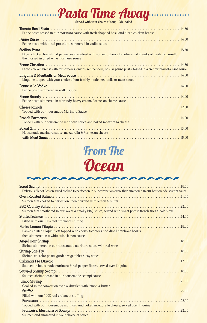# **From The Ocean**

| Delicious filet of Boston scrod cooked to perfection in our convection oven, then simmered in our housemade scampi sauce |
|--------------------------------------------------------------------------------------------------------------------------|
|                                                                                                                          |
| Salmon filet cooked to perfection, then drizzled with lemon & butter                                                     |
|                                                                                                                          |
| Salmon filet smothered in our sweet & smoky BBQ sauce, served with sweet potato french fries & cole slaw                 |
|                                                                                                                          |
| Filled with our 100% real crabmeat stuffing                                                                              |
|                                                                                                                          |
| Panko crusted tilapia filets topped with cherry tomatoes and diced artichoke hearts,                                     |
| then simmered in a white wine lemon sauce                                                                                |
|                                                                                                                          |
| Shrimp simmered in our housemade marinara sauce with red wine                                                            |
|                                                                                                                          |
| Shrimp, tri-color pasta, garden vegetables & soy sauce                                                                   |
|                                                                                                                          |
| Sauteed in housemade marinara & red pepper flakes, served over linguine                                                  |
|                                                                                                                          |
| Sauteed shrimp tossed in our housemade scampi sauce                                                                      |
|                                                                                                                          |
| Cooked in the convection oven & drizzled with lemon & butter                                                             |
|                                                                                                                          |
| Filled with our 100% real crabmeat stuffing                                                                              |
|                                                                                                                          |
| Topped with our housemade marinara and baked mozzarella cheese, served over linguine                                     |
|                                                                                                                          |
| Sautéed and simmered in your choice of sauce                                                                             |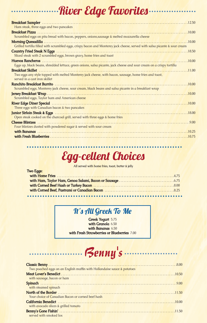# **River Edge Favorites**

| Breakfast Sampler (1995) 12.50                                                                                             |
|----------------------------------------------------------------------------------------------------------------------------|
| Ham steak, three eggs and two pancakes                                                                                     |
|                                                                                                                            |
| Scrambled eggs on pita bread with bacon, peppers, onions, sausage & melted mozzarella cheese                               |
|                                                                                                                            |
| Grilled tortilla filled with scrambled eggs, crispy bacon and Monterey jack cheese, served with salsa picante & sour cream |
|                                                                                                                            |
| Sliced steak with 2 scrambled eggs, brown gravy, home fries and toast                                                      |
|                                                                                                                            |
| Eggs up, black beans, shredded lettuce, green onions, salsa picante, jack cheese and sour cream on a crispy tortilla       |
|                                                                                                                            |
| Two eggs any style topped with melted Monterey jack cheese, with bacon, sausage, home fries and toast,                     |
| served in a cast iron skillet                                                                                              |
|                                                                                                                            |
| Scrambled eggs, Monterey jack cheese, sour cream, black beans and salsa picante in a breakfast wrap                        |
|                                                                                                                            |
| Scrambled eggs, Taylor ham and American cheese                                                                             |
|                                                                                                                            |
| Three eggs with Canadian bacon & two pancakes                                                                              |
|                                                                                                                            |
| Open steak cooked on the charcoal grill, served with three eggs & home fries                                               |
|                                                                                                                            |
| Four blintzes dusted with powdered sugar & served with sour cream                                                          |
|                                                                                                                            |
|                                                                                                                            |
|                                                                                                                            |

# **Egg-cellent Choices**

**All served with home fries, toast, butter & jelly**

| <b>Two Eggs:</b> |  |
|------------------|--|
|                  |  |
|                  |  |
|                  |  |
|                  |  |
|                  |  |

## **It' s All Greek To Me**

**Greek Yogurt** 5.75 **with Granola** 6.50 **with Bananas** 6.50 **with Fresh Strawberries or Blueberries** 7.00

### *Benny 's*

| Two poached eggs on an English muffin with Hollandaise sauce & potatoes |  |
|-------------------------------------------------------------------------|--|
|                                                                         |  |
| with sausage, bacon or ham                                              |  |
|                                                                         |  |
| with steamed spinach                                                    |  |
|                                                                         |  |
| Your choice of Canadian Bacon or corned beef hash                       |  |
|                                                                         |  |
| with avocado slices & grilled tomato                                    |  |
| served with smoked lox                                                  |  |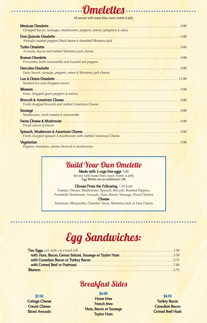## **Omelettes**

**All served with home fries, toast, butter & jelly**

| Chopped bacon, sausages, mushrooms, peppers, onions, jalapenos & salsa |
|------------------------------------------------------------------------|
| Avocado, roasted peppers, black beans & shredded Monterey jack         |
| Avocado, bacon and melted Monterey jack cheese                         |
| Prosciutto, fresh mozzarella and roasted red peppers                   |
| Ham, bacon, sausage, peppers, onion & Monterey jack cheese             |
| Smoked lox and chopped onions                                          |
| Ham, chopped green peppers & onions                                    |
| Fresh chopped broccoli and melted American Cheese                      |
| Mushrooms, fresh tomato & mozzarella                                   |
| Diced onions & bacon                                                   |
| Fresh chopped spinach & mushrooms with melted American Cheese          |
| Dennero temptoeo eniene broccoli e muchroeme                           |

Peppers, tomatoes, onions, broccoli & mushrooms

### **Build Your Own Omelette**

**Made with 3 cage free eggs** 6.00 Served with home fries, toast, butter & jelly **Egg Whites are an additional 1.00**

#### **Choose From the Following** 1.25 Each

Tomato, Onions, Mushrooms, Spinach, Broccoli, Roasted Peppers, Portobello Mushroom, Avocado, Ham, Bacon, Sausage, Diced Chicken **Cheese**

American, Mozzarella, Cheddar, Swiss, Monterey Jack or Feta Cheese

## **Egg Sandwiches:**

### **Breakfast Sides**

#### **\$4.00**

**\$3.50 Cottage Cheese Cream Cheese Sliced Avocado**

**Home fries French fries Ham, Bacon or Sausage Taylor Ham**

#### **\$4.50**

**Turkey Bacon Canadian Bacon Corned Beef Hash**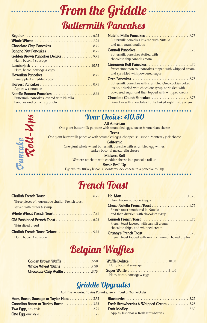# **From the Griddle Buttermilk Pancakes**

| Golden Brown Pancakes Deluxe 9.75         |
|-------------------------------------------|
| Ham, bacon & sausage                      |
|                                           |
| Ham, bacon, sausage & eggs                |
|                                           |
| Pineapple & shredded coconut              |
|                                           |
| Apples & cinnamon                         |
|                                           |
| Buttermilk pancakes layered with Nutella, |
| bananas and crunchy granola               |

| Buttermilk pancakes layered with Nutella                |
|---------------------------------------------------------|
| and mini marshmallows                                   |
|                                                         |
| Buttermilk pancakes stuffed with                        |
| chocolate chip cannoli cream                            |
| Cinnamon Roll Pancakes8.75                              |
| Sweet cinnamon roll pancakes topped with whipped cream  |
| and sprinkled with powdered sugar                       |
|                                                         |
| Buttermilk pancakes with crumbled Oreo cookies baked    |
| inside, drizzled with chocolate syrup, sprinkled with   |
| powdered sugar and then topped with whipped cream       |
|                                                         |
| Pancakes with chocolate chunks baked right inside of em |
|                                                         |

### *Pa n c a k e Ro l l - U p s*

## **Your Choice: \$10.50**

**All American** 

One giant buttermilk pancake with scrambled eggs, bacon & American cheese

**Texas**

One giant buttermilk pancake with scrambled eggs, chopped sausage & Monterey jack cheese

**California**

One giant whole wheat buttermilk pancake with scrambled egg whites, turkey bacon & mozzarella cheese

**Midwest Roll**

Western omelette with cheddar cheese in a pancake roll up

**Swole Broll Up**

Egg whites, turkey bacon & Monterey jack cheese in a pancake roll up

## **French Toast**

| Three pieces of housemade challah French toast, |  |
|-------------------------------------------------|--|
| served with butter & syrup                      |  |
|                                                 |  |
|                                                 |  |
| Thin sliced bread                               |  |
|                                                 |  |
| Ham, bacon & sausage                            |  |

| Ham, bacon, sausage & eggs                          |
|-----------------------------------------------------|
|                                                     |
| French toast smothered in Nutella                   |
| and then drizzled with chocolate syrup              |
|                                                     |
| French toast layered with cannoli cream,            |
| chocolate chips, and whipped cream                  |
|                                                     |
| French toast topped with warm cinnamon baked apples |

## **Belgian Waffles**

| Whole Wheat Waffle 7.50    |  |  |  |  |  |  |
|----------------------------|--|--|--|--|--|--|
| Chocolate Chip Waffle 8.75 |  |  |  |  |  |  |

| Ham, bacon & sausage       |
|----------------------------|
| <b>Super Waffle</b> 11.00  |
| Ham, bacon, sausage & eggs |

## **Griddle Upgrades**

**Add The Following To Any Pancake, French Toast or Waffle Order**

| Ham, Bacon, Sausage or Taylor Ham 2.75 | H |
|----------------------------------------|---|
| Canadian Bacon or Turkey Bacon 3.75    | H |
|                                        | H |
|                                        |   |

| Fresh Strawberries & Whipped Cream 3.25 |  |
|-----------------------------------------|--|
|                                         |  |
| Apples, bananas & fresh strawberries    |  |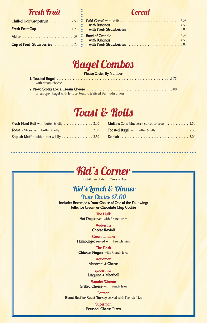### **Fresh Fruit**

| Chilled Half Grapefruit 2.50   |  |
|--------------------------------|--|
| Fresh Fruit Cup 4.25           |  |
|                                |  |
| Cup of Fresh Strawberries 5.25 |  |

## **Cereal**



#### **Please Order By Number**

| with cream cheese |  |
|-------------------|--|

**<sup>2.</sup> Nova Scotia Lox & Cream Cheese** . . . . . . . . . . . . . . . . . . . . . . . . . . . . . . . . . . . . . . . . . . . . . . . . . . . . .15.00 on an open bagel with lettuce, tomato & sliced Bermuda onion

## **Toast & Rolls**

| Fresh Hard Roll with butter & jelly 2.00         |  |
|--------------------------------------------------|--|
| <b>Toast</b> (2 Slices) with butter & jelly 2.00 |  |
| <b>English Muffin</b> with butter & jelly 2.50   |  |

| <b>Muffins</b> Corn, blueberry, carrot or bran 2.50 |  |
|-----------------------------------------------------|--|
| Toasted Bagel with butter & jelly 2.50              |  |
|                                                     |  |



**For Children Under 10 Years of Age**

### **Kid's Lunch & Dinner**

**Your Choice \$7.00 Includes Beverage & Your Choice of One of the Following: Jello, Ice Cream or Chocolate Chip Cookie**

> **The Hulk Hot Dog** served with French fries

> > **Wolverine Cheese Ravioli**

**Green Lantern Hamburger** served with French fries

**The Flash Chicken Fingers** with French fries

> **Aquaman Macaroni & Cheese**

**Spider man Linguine & Meatball**

**Wonder Woman Grilled Cheese** with French fries

**Batman Roast Beef or Roast Turkey** served with French fries

> **Superman Personal Cheese Pizza**